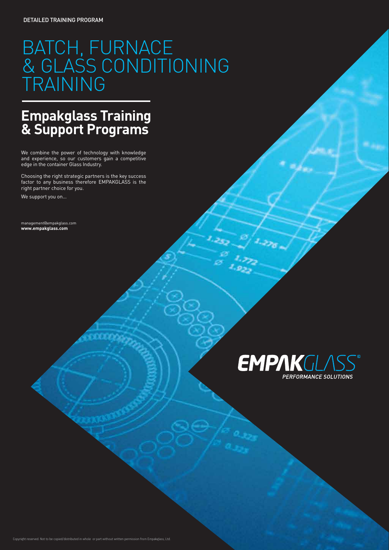### **Empakglass Training & Support Programs**

We combine the power of technology with knowledge and experience, so our customers gain a competitive edge in the container Glass Industry.

Choosing the right strategic partners is the key success factor to any business therefore EMPAKGLASS is the right partner choice for you.

We support you on...

management@empakglass.com **www.empakglass.com**

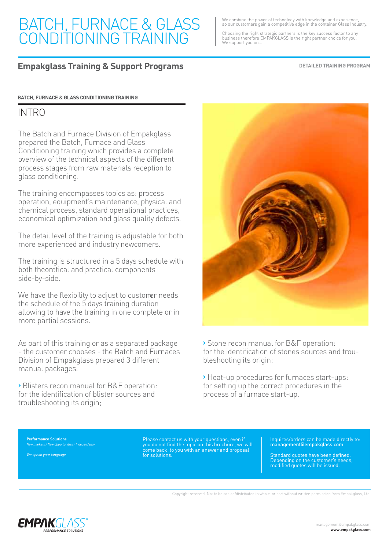We combine the power of technology with knowledge and experience, so our customers gain a competitive edge in the container Glass Industry.

Choosing the right strategic partners is the key success factor to any business therefore EMPAKGLASS is the right partner choice for you. We support you on...

#### **Empakglass Training & Support Programs**

**DETAILED TRAINING PROGRAM**

#### **BATCH, FURNACE & GLASS CONDITIONING TRAINING**

#### INTRO

The Batch and Furnace Division of Empakglass prepared the Batch, Furnace and Glass Conditioning training which provides a complete overview of the technical aspects of the different process stages from raw materials reception to glass conditioning.

The training encompasses topics as: process operation, equipment's maintenance, physical and chemical process, standard operational practices, economical optimization and glass quality defects.

The detail level of the training is adjustable for both more experienced and industry newcomers.

The training is structured in a 5 days schedule with both theoretical and practical components side-by-side.

We have the flexibility to adjust to customer needs the schedule of the 5 days training duration allowing to have the training in one complete or in more partial sessions.

As part of this training or as a separated package - the customer chooses - the Batch and Furnaces Division of Empakglass prepared 3 different manual packages.

**›** Blisters recon manual for B&F operation: for the identification of blister sources and troubleshooting its origin;



**›** Stone recon manual for B&F operation: for the identification of stones sources and troubleshooting its origin:

**›** Heat-up procedures for furnaces start-ups: for setting up the correct procedures in the process of a furnace start-up.

**Performance Solutions** *New markets / New Opportunities / Independency*

*We speak your language*

Please contact us with your questions, even if you do not find the topic on this brochure, we will come back to you with an answer and proposal for solutions.

Inquires/orders can be made directly to: management@empakglass.com

Standard quotes have been defined. Depending on the customer's needs, modified quotes will be issued.

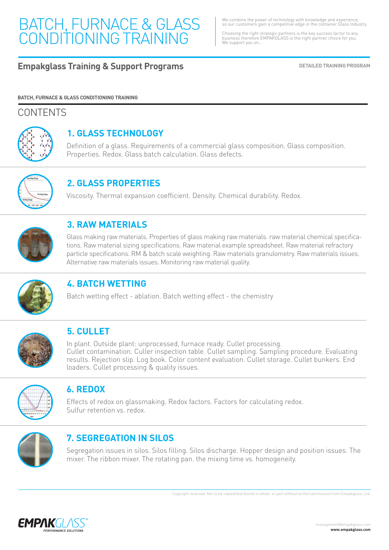We combine the power of technology with knowledge and experience, so our customers gain a competitive edge in the container Glass Industry.

Choosing the right strategic partners is the key success factor to any business therefore EMPAKGLASS is the right partner choice for you. We support you on...

#### **Empakglass Training & Support Programs DETAILED TRAINING PROGRAM**

**BATCH, FURNACE & GLASS CONDITIONING TRAINING**

#### CONTENTS



### **1. GLASS TECHNOLOGY**

Definition of a glass. Requirements of a commercial glass composition. Glass composition. Properties. Redox. Glass batch calculation. Glass defects.



### **2. GLASS PROPERTIES**

Viscosity. Thermal expansion coefficient. Density. Chemical durability. Redox.



#### **3. RAW MATERIALS**

Glass making raw materials. Properties of glass making raw materials. raw material chemical specifications. Raw material sizing specifications. Raw material example spreadsheet. Raw material refractory particle specifications. RM & batch scale weighting. Raw materials granulometry. Raw materials issues. Alternative raw materials issues. Monitoring raw material quality.



### **4. BATCH WETTING**

Batch wetting effect - ablation. Batch wetting effect - the chemistry



#### **5. CULLET**

In plant. Outside plant: unprocessed, furnace ready. Cullet processing. Cullet contamination. Culler inspection table. Cullet sampling. Sampling procedure. Evaluating results. Rejection slip. Log book. Color content evaluation. Cullet storage. Cullet bunkers. End loaders. Cullet processing & quality issues.



#### **6. REDOX**

Effects of redox on glassmaking. Redox factors. Factors for calculating redox. Sulfur retention vs. redox.



#### **7. SEGREGATION IN SILOS**

Segregation issues in silos. Silos filling. Silos discharge. Hopper design and position issues. The mixer. The ribbon mixer. The rotating pan. the mixing time vs. homogeneity.

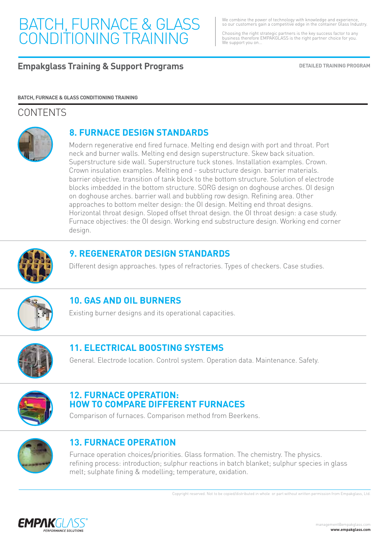We combine the power of technology with knowledge and experience, so our customers gain a competitive edge in the container Glass Industry.

Choosing the right strategic partners is the key success factor to any business therefore EMPAKGLASS is the right partner choice for you. We support you on...

**Empakglass Training & Support Programs DETAILED TRAINING PROGRAM** 

**BATCH, FURNACE & GLASS CONDITIONING TRAINING**

### **CONTENTS**



#### **8. FURNACE DESIGN STANDARDS**

Modern regenerative end fired furnace. Melting end design with port and throat. Port neck and burner walls. Melting end design superstructure. Skew back situation. Superstructure side wall. Superstructure tuck stones. Installation examples. Crown. Crown insulation examples. Melting end - substructure design. barrier materials. barrier objective. transition of tank block to the bottom structure. Solution of electrode blocks imbedded in the bottom structure. SORG design on doghouse arches. OI design on doghouse arches. barrier wall and bubbling row design. Refining area. Other approaches to bottom melter design: the OI design. Melting end throat designs. Horizontal throat design. Sloped offset throat design. the OI throat design: a case study. Furnace objectives: the OI design. Working end substructure design. Working end corner design.



#### **9. REGENERATOR DESIGN STANDARDS**

Different design approaches. types of refractories. Types of checkers. Case studies.



#### **10. GAS AND OIL BURNERS**

Existing burner designs and its operational capacities.



### **11. ELECTRICAL BOOSTING SYSTEMS**

General. Electrode location. Control system. Operation data. Maintenance. Safety.



#### **12. FURNACE OPERATION: HOW TO COMPARE DIFFERENT FURNACES**

Comparison of furnaces. Comparison method from Beerkens.



#### **13. FURNACE OPERATION**

Furnace operation choices/priorities. Glass formation. The chemistry. The physics. refining process: introduction; sulphur reactions in batch blanket; sulphur species in glass melt; sulphate fining & modelling; temperature, oxidation.

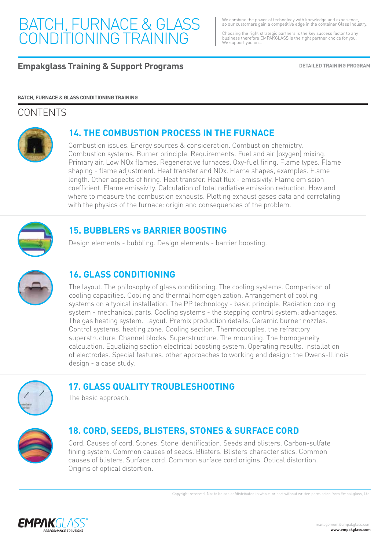We combine the power of technology with knowledge and experience, so our customers gain a competitive edge in the container Glass Industry.

Choosing the right strategic partners is the key success factor to any business therefore EMPAKGLASS is the right partner choice for you. We support you on...

**Empakglass Training & Support Programs DETAILED TRAINING PROGRAM** 

#### **BATCH, FURNACE & GLASS CONDITIONING TRAINING**

#### **CONTENTS**



#### **14. THE COMBUSTION PROCESS IN THE FURNACE**

Combustion issues. Energy sources & consideration. Combustion chemistry. Combustion systems. Burner principle. Requirements. Fuel and air (oxygen) mixing. Primary air. Low NOx flames. Regenerative furnaces. Oxy-fuel firing. Flame types. Flame shaping - flame adjustment. Heat transfer and NOx. Flame shapes, examples. Flame length. Other aspects of firing. Heat transfer. Heat flux - emissivity. Flame emission coefficient. Flame emissivity. Calculation of total radiative emission reduction. How and where to measure the combustion exhausts. Plotting exhaust gases data and correlating with the physics of the furnace: origin and consequences of the problem.



#### **15. BUBBLERS vs BARRIER BOOSTING**

Design elements - bubbling. Design elements - barrier boosting.



#### **16. GLASS CONDITIONING**

The layout. The philosophy of glass conditioning. The cooling systems. Comparison of cooling capacities. Cooling and thermal homogenization. Arrangement of cooling systems on a typical installation. The PP technology - basic principle. Radiation cooling system - mechanical parts. Cooling systems - the stepping control system: advantages. The gas heating system. Layout. Premix production details. Ceramic burner nozzles. Control systems. heating zone. Cooling section. Thermocouples. the refractory superstructure. Channel blocks. Superstructure. The mounting. The homogeneity calculation. Equalizing section electrical boosting system. Operating results. Installation of electrodes. Special features. other approaches to working end design: the Owens-Illinois design - a case study.



#### **17. GLASS QUALITY TROUBLESHOOTING**

The basic approach.



### **18. CORD, SEEDS, BLISTERS, STONES & SURFACE CORD**

Cord. Causes of cord. Stones. Stone identification. Seeds and blisters. Carbon-sulfate fining system. Common causes of seeds. Blisters. Blisters characteristics. Common causes of blisters. Surface cord. Common surface cord origins. Optical distortion. Origins of optical distortion.

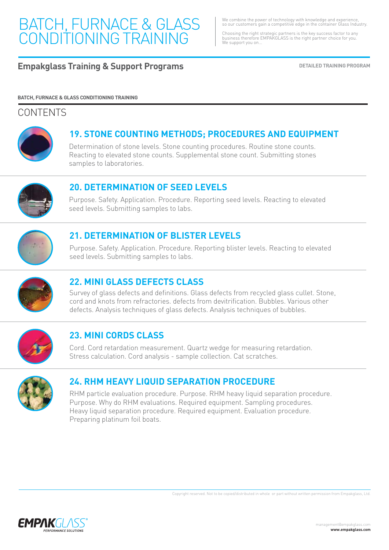We combine the power of technology with knowledge and experience, so our customers gain a competitive edge in the container Glass Industry.

Choosing the right strategic partners is the key success factor to any business therefore EMPAKGLASS is the right partner choice for you. We support you on...

#### **Empakglass Training & Support Programs DETAILED TRAINING PROGRAM**

#### **BATCH, FURNACE & GLASS CONDITIONING TRAINING**

#### **CONTENTS**



#### **19. STONE COUNTING METHODS; PROCEDURES AND EQUIPMENT**

Determination of stone levels. Stone counting procedures. Routine stone counts. Reacting to elevated stone counts. Supplemental stone count. Submitting stones samples to laboratories.



#### **20. DETERMINATION OF SEED LEVELS**

Purpose. Safety. Application. Procedure. Reporting seed levels. Reacting to elevated seed levels. Submitting samples to labs.



#### **21. DETERMINATION OF BLISTER LEVELS**

Purpose. Safety. Application. Procedure. Reporting blister levels. Reacting to elevated seed levels. Submitting samples to labs.



#### **22. MINI GLASS DEFECTS CLASS**

Survey of glass defects and definitions. Glass defects from recycled glass cullet. Stone, cord and knots from refractories. defects from devitrification. Bubbles. Various other defects. Analysis techniques of glass defects. Analysis techniques of bubbles.



### **23. MINI CORDS CLASS**

Cord. Cord retardation measurement. Quartz wedge for measuring retardation. Stress calculation. Cord analysis - sample collection. Cat scratches.



#### **24. RHM HEAVY LIQUID SEPARATION PROCEDURE**

RHM particle evaluation procedure. Purpose. RHM heavy liquid separation procedure. Purpose. Why do RHM evaluations. Required equipment. Sampling procedures. Heavy liquid separation procedure. Required equipment. Evaluation procedure. Preparing platinum foil boats.